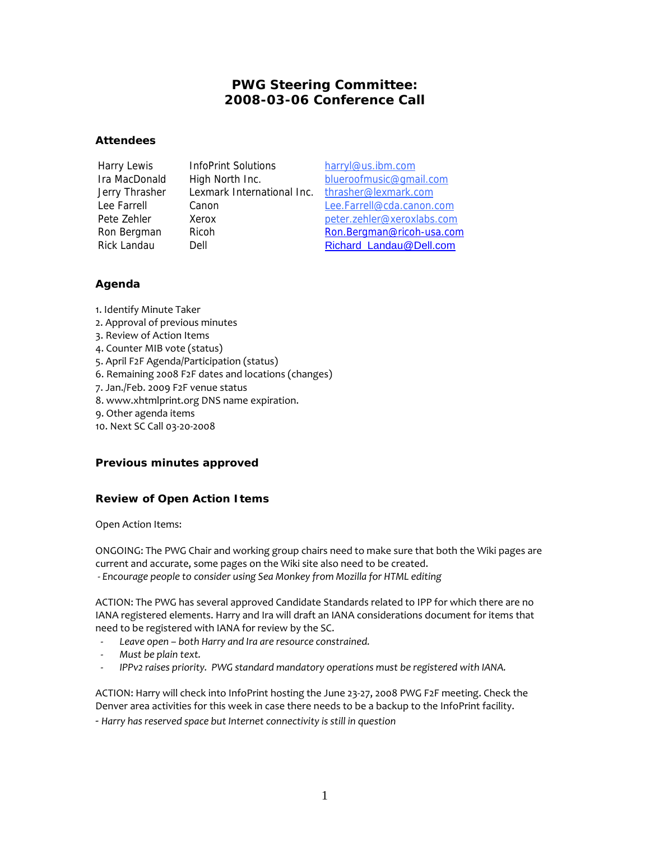# **PWG Steering Committee: 2008-03-06 Conference Call**

## **Attendees**

Harry Lewis InfoPrint Solutions harryl@us.ibm.com Jerry Thrasher Lexmark International Inc. thrasher@lexmark.com

Ira MacDonald High North Inc. blueroofmusic@gmail.com Lee Farrell Canon Lee.Farrell@cda.canon.com Pete Zehler Xerox Xerox peter.zehler@xeroxlabs.com Ron Bergman Ricoh Ron.Bergman@ricoh-usa.com Rick Landau Dell Dell Richard\_Landau@Dell.com

# **Agenda**

- 1. Identify Minute Taker
- 2. Approval of previous minutes
- 3. Review of Action Items
- 4. Counter MIB vote (status)
- 5. April F2F Agenda/Participation (status)
- 6. Remaining 2008 F2F dates and locations (changes)
- 7. Jan./Feb. 2009 F2F venue status
- 8. www.xhtmlprint.org DNS name expiration.
- 9. Other agenda items
- 10. Next SC Call 03-20-2008

## **Previous minutes approved**

# **Review of Open Action Items**

Open Action Items:

ONGOING: The PWG Chair and working group chairs need to make sure that both the Wiki pages are current and accurate, some pages on the Wiki site also need to be created.  *- Encourage people to consider using Sea Monkey from Mozilla for HTML editing*

ACTION: The PWG has several approved Candidate Standards related to IPP for which there are no IANA registered elements. Harry and Ira will draft an IANA considerations document for items that need to be registered with IANA for review by the SC.

- *Leave open both Harry and Ira are resource constrained.*
- *Must be plain text.*
- *IPPv2 raises priority. PWG standard mandatory operations must be registered with IANA.*

ACTION: Harry will check into InfoPrint hosting the June 23-27, 2008 PWG F2F meeting. Check the Denver area activities for this week in case there needs to be a backup to the InfoPrint facility.

- *Harry has reserved space but Internet connectivity is still in question*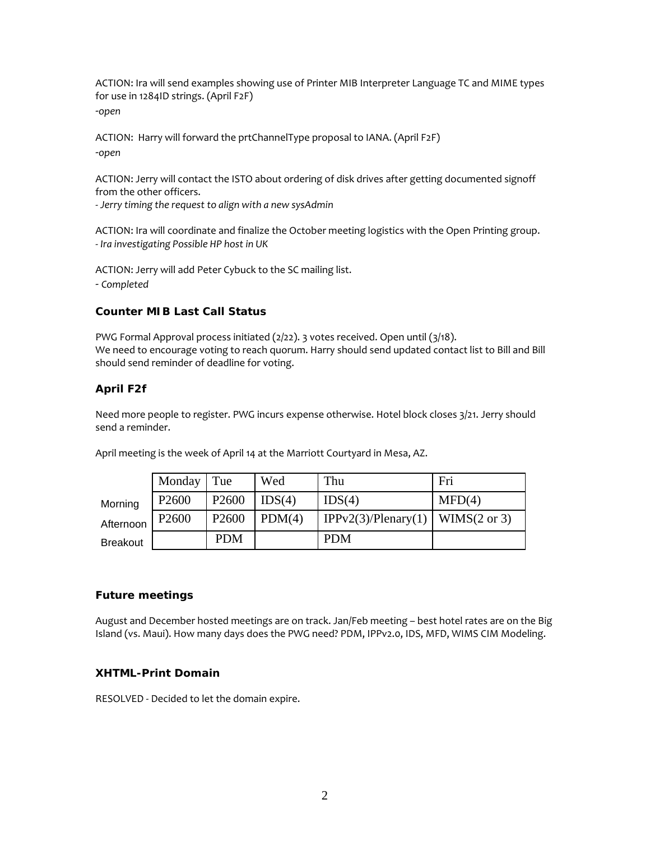ACTION: Ira will send examples showing use of Printer MIB Interpreter Language TC and MIME types for use in 1284ID strings. (April F2F) -*open*

ACTION: Harry will forward the prtChannelType proposal to IANA. (April F2F) -*open*

ACTION: Jerry will contact the ISTO about ordering of disk drives after getting documented signoff from the other officers.

- *Jerry timing the request to align with a new sysAdmin* 

ACTION: Ira will coordinate and finalize the October meeting logistics with the Open Printing group. - *Ira investigating Possible HP host in UK*

ACTION: Jerry will add Peter Cybuck to the SC mailing list.

- *Completed*

## **Counter MIB Last Call Status**

PWG Formal Approval process initiated (2/22). 3 votes received. Open until (3/18). We need to encourage voting to reach quorum. Harry should send updated contact list to Bill and Bill should send reminder of deadline for voting.

## **April F2f**

Need more people to register. PWG incurs expense otherwise. Hotel block closes 3/21. Jerry should send a reminder.

|                 | Monday            | Tue               | Wed    | Thu                                | Fri    |
|-----------------|-------------------|-------------------|--------|------------------------------------|--------|
| Morning         | P <sub>2600</sub> | P <sub>2600</sub> | IDS(4) | IDS(4)                             | MFD(4) |
| Afternoon       | P <sub>2600</sub> | P <sub>2600</sub> | PDM(4) | IPPv2(3)/Plenary(1)   WIMS(2 or 3) |        |
| <b>Breakout</b> |                   | <b>PDM</b>        |        | <b>PDM</b>                         |        |

April meeting is the week of April 14 at the Marriott Courtyard in Mesa, AZ.

## **Future meetings**

August and December hosted meetings are on track. Jan/Feb meeting – best hotel rates are on the Big Island (vs. Maui). How many days does the PWG need? PDM, IPPv2.0, IDS, MFD, WIMS CIM Modeling.

## **XHTML-Print Domain**

RESOLVED - Decided to let the domain expire.